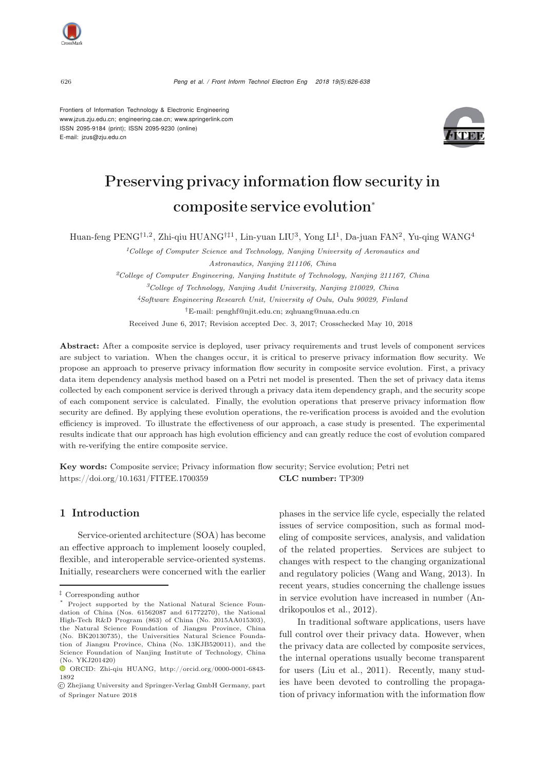

Frontiers of Information Technology & Electronic Engineering [www.jzus.zju.edu.cn;](www.jzus.zju.edu.cn) [engineering.cae.cn;](engineering.cae.cn)<www.springerlink.com> ISSN 2095-9184 (print); ISSN 2095-9230 (online) E-mail: jzus@zju.edu.cn



# $\mathbf{P}_{\mathbf{P}}$  is the security information flow security in  $\mathbf{P}_{\mathbf{P}}$ composite service evolution<sup>∗</sup>

Huan-feng PENG<sup>†1,2</sup>, Zhi-qiu HUANG<sup>†‡1</sup>, Lin-yuan LIU<sup>3</sup>, Yong LI<sup>1</sup>, Da-juan FAN<sup>2</sup>, Yu-qing WANG<sup>4</sup>

*<sup>1</sup>College of Computer Science and Technology, Nanjing University of Aeronautics and*

*Astronautics, Nanjing 211106, China <sup>2</sup>College of Computer Engineering, Nanjing Institute of Technology, Nanjing 211167, China <sup>3</sup>College of Technology, Nanjing Audit University, Nanjing 210029, China <sup>4</sup>Software Engineering Research Unit, University of Oulu, Oulu 90029, Finland †*E-mail: penghf@njit.edu.cn; zqhuang@nuaa.edu.cn

Received June 6, 2017; Revision accepted Dec. 3, 2017; Crosschecked May 10, 2018

Abstract: After a composite service is deployed, user privacy requirements and trust levels of component services are subject to variation. When the changes occur, it is critical to preserve privacy information flow security. We propose an approach to preserve privacy information flow security in composite service evolution. First, a privacy data item dependency analysis method based on a Petri net model is presented. Then the set of privacy data items collected by each component service is derived through a privacy data item dependency graph, and the security scope of each component service is calculated. Finally, the evolution operations that preserve privacy information flow security are defined. By applying these evolution operations, the re-verification process is avoided and the evolution efficiency is improved. To illustrate the effectiveness of our approach, a case study is presented. The experimental results indicate that our approach has high evolution efficiency and can greatly reduce the cost of evolution compared with re-verifying the entire composite service.

Key words: Composite service; Privacy information flow security; Service evolution; Petri net https://doi.org/10.1631/FITEE.1700359 CLC number: TP309

## 1 Introduction

Service-oriented architecture (SOA) has become an effective approach to implement loosely coupled, flexible, and interoperable service-oriented systems. Initially, researchers were concerned with the earlier phases in the service life cycle, especially the related issues of service composition, such as formal modeling of composite services, analysis, and validation of the related properties. Services are subject to changes with respect to the changing organizational and regulatory policies [\(Wang and Wang, 2013\)](#page-12-0). In recent years, studies concerning the challenge issues in service evoluti[on](#page-11-0) [have](#page-11-0) [increased](#page-11-0) [in](#page-11-0) [number](#page-11-0) [\(](#page-11-0)Andrikopoulos et al., [2012\)](#page-11-0).

In traditional software applications, users have full control over their privacy data. However, when the privacy data are collected by composite services, the internal operations usually become transparent for users [\(Liu et al.](#page-11-1), [2011\)](#page-11-1). Recently, many studies have been devoted to controlling the propagation of privacy information with the information flow

*<sup>‡</sup>* Corresponding author

<sup>\*</sup> Project supported by the National Natural Science Foundation of China (Nos. 61562087 and 61772270), the National High-Tech R&D Program (863) of China (No. 2015AA015303), the Natural Science Foundation of Jiangsu Province, China (No. BK20130735), the Universities Natural Science Foundation of Jiangsu Province, China (No. 13KJB520011), and the Science Foundation of Nanjing Institute of Technology, China (No. YKJ201420)

ORCID: Zhi-qiu HUANG, http://orcid.org/0000-0001-6843- 1892

c Zhejiang University and Springer-Verlag GmbH Germany, part of Springer Nature 2018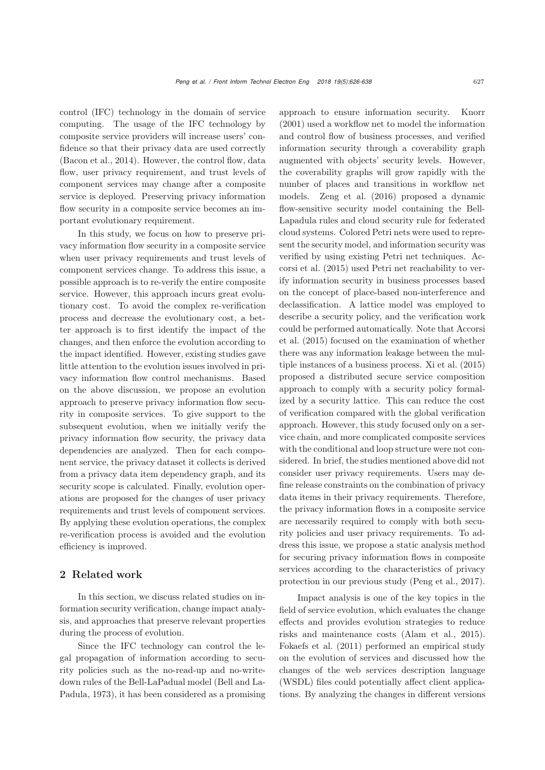control (IFC) technology in the domain of service computing. The usage of the IFC technology by composite service providers will increase users' confidence so that their privacy data are used correctly [\(Bacon et al.](#page-11-2), [2014\)](#page-11-2). However, the control flow, data flow, user privacy requirement, and trust levels of component services may change after a composite service is deployed. Preserving privacy information flow security in a composite service becomes an important evolutionary requirement.

In this study, we focus on how to preserve privacy information flow security in a composite service when user privacy requirements and trust levels of component services change. To address this issue, a possible approach is to re-verify the entire composite service. However, this approach incurs great evolutionary cost. To avoid the complex re-verification process and decrease the evolutionary cost, a better approach is to first identify the impact of the changes, and then enforce the evolution according to the impact identified. However, existing studies gave little attention to the evolution issues involved in privacy information flow control mechanisms. Based on the above discussion, we propose an evolution approach to preserve privacy information flow security in composite services. To give support to the subsequent evolution, when we initially verify the privacy information flow security, the privacy data dependencies are analyzed. Then for each component service, the privacy dataset it collects is derived from a privacy data item dependency graph, and its security scope is calculated. Finally, evolution operations are proposed for the changes of user privacy requirements and trust levels of component services. By applying these evolution operations, the complex re-verification process is avoided and the evolution efficiency is improved.

## 2 Related work

In this section, we discuss related studies on information security verification, change impact analysis, and approaches that preserve relevant properties during the process of evolution.

Since the IFC technology can control the legal propagation of information according to security policies such as the no-read-up and no-writedown r[ules](#page-11-3) [of](#page-11-3) [the](#page-11-3) [Bell-LaPadual](#page-11-3) [model](#page-11-3) [\(](#page-11-3)Bell and La-Padula, [1973](#page-11-3)), it has been considered as a promising approach to ensure information security. [Knorr](#page-11-4) [\(2001](#page-11-4)) used a workflow net to model the information and control flow of business processes, and verified information security through a coverability graph augmented with objects' security levels. However, the coverability graphs will grow rapidly with the number of places and transitions in workflow net models. [Zeng et al.](#page-12-1) [\(2016](#page-12-1)) proposed a dynamic flow-sensitive security model containing the Bell-Lapadula rules and cloud security rule for federated cloud systems. Colored Petri nets were used to represent the security model, and information security was verified b[y](#page-11-5) [using](#page-11-5) [existing](#page-11-5) [Petri](#page-11-5) [net](#page-11-5) [techniques.](#page-11-5) Accorsi et al. [\(2015](#page-11-5)) used Petri net reachability to verify information security in business processes based on the concept of place-based non-interference and declassification. A lattice model was employed to describe a security policy, and the verification work coul[d](#page-11-5) [be](#page-11-5) [performed](#page-11-5) [automatically.](#page-11-5) [Note](#page-11-5) [that](#page-11-5) Accorsi et al. [\(2015](#page-11-5)) focused on the examination of whether there was any information leakage between the multiple instances of a business process. [Xi et al.](#page-12-2) [\(2015](#page-12-2)) proposed a distributed secure service composition approach to comply with a security policy formalized by a security lattice. This can reduce the cost of verification compared with the global verification approach. However, this study focused only on a service chain, and more complicated composite services with the conditional and loop structure were not considered. In brief, the studies mentioned above did not consider user privacy requirements. Users may define release constraints on the combination of privacy data items in their privacy requirements. Therefore, the privacy information flows in a composite service are necessarily required to comply with both security policies and user privacy requirements. To address this issue, we propose a static analysis method for securing privacy information flows in composite services according to the characteristics of privacy protection in our previous study [\(Peng et al., 2017\)](#page-12-3).

Impact analysis is one of the key topics in the field of service evolution, which evaluates the change effects and provides evolution strategies to reduce risks and maintenance costs [\(Alam et al.](#page-11-6), [2015\)](#page-11-6). [Fokaefs et al.](#page-11-7) [\(2011\)](#page-11-7) performed an empirical study on the evolution of services and discussed how the changes of the web services description language (WSDL) files could potentially affect client applications. By analyzing the changes in different versions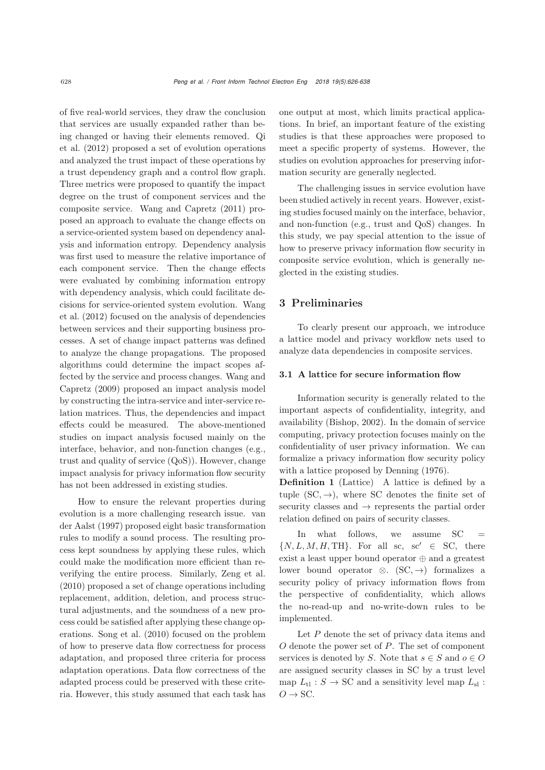of five real-world services, they draw the conclusion that services are usually expanded rather than being c[hanged](#page-12-4) [or](#page-12-4) [having](#page-12-4) [their](#page-12-4) [elements](#page-12-4) [removed.](#page-12-4) Qi et al. [\(2012](#page-12-4)) proposed a set of evolution operations and analyzed the trust impact of these operations by a trust dependency graph and a control flow graph. Three metrics were proposed to quantify the impact degree on the trust of component services and the composite service. [Wang and Capretz](#page-12-5) [\(2011\)](#page-12-5) proposed an approach to evaluate the change effects on a service-oriented system based on dependency analysis and information entropy. Dependency analysis was first used to measure the relative importance of each component service. Then the change effects were evaluated by combining information entropy with dependency analysis, which could facilitate decisio[ns](#page-12-6) [for](#page-12-6) [service-oriented](#page-12-6) [system](#page-12-6) [evolution.](#page-12-6) Wang et al. [\(2012\)](#page-12-6) focused on the analysis of dependencies between services and their supporting business processes. A set of change impact patterns was defined to analyze the change propagations. The proposed algorithms could determine the impact scopes affected b[y](#page-12-7) [the](#page-12-7) [service](#page-12-7) [and](#page-12-7) [process](#page-12-7) [changes.](#page-12-7) Wang and Capretz [\(2009](#page-12-7)) proposed an impact analysis model by constructing the intra-service and inter-service relation matrices. Thus, the dependencies and impact effects could be measured. The above-mentioned studies on impact analysis focused mainly on the interface, behavior, and non-function changes (e.g., trust and quality of service (QoS)). However, change impact analysis for privacy information flow security has not been addressed in existing studies.

How to ensure the relevant properties during evolutio[n](#page-12-8) [is](#page-12-8) [a](#page-12-8) [more](#page-12-8) [challenging](#page-12-8) [research](#page-12-8) [issue.](#page-12-8) van der Aalst [\(1997\)](#page-12-8) proposed eight basic transformation rules to modify a sound process. The resulting process kept soundness by applying these rules, which could make the modification more efficient than reverifying the entire process. Similarly, [Zeng et al.](#page-12-9) [\(2010](#page-12-9)) proposed a set of change operations including replacement, addition, deletion, and process structural adjustments, and the soundness of a new process could be satisfied after applying these change operations. [Song et al.](#page-12-10) [\(2010](#page-12-10)) focused on the problem of how to preserve data flow correctness for process adaptation, and proposed three criteria for process adaptation operations. Data flow correctness of the adapted process could be preserved with these criteria. However, this study assumed that each task has

one output at most, which limits practical applications. In brief, an important feature of the existing studies is that these approaches were proposed to meet a specific property of systems. However, the studies on evolution approaches for preserving information security are generally neglected.

The challenging issues in service evolution have been studied actively in recent years. However, existing studies focused mainly on the interface, behavior, and non-function (e.g., trust and QoS) changes. In this study, we pay special attention to the issue of how to preserve privacy information flow security in composite service evolution, which is generally neglected in the existing studies.

## 3 Preliminaries

To clearly present our approach, we introduce a lattice model and privacy workflow nets used to analyze data dependencies in composite services.

## <span id="page-2-0"></span>3.1 A lattice for secure information flow

Information security is generally related to the important aspects of confidentiality, integrity, and availability [\(Bishop](#page-11-8), [2002](#page-11-8)). In the domain of service computing, privacy protection focuses mainly on the confidentiality of user privacy information. We can formalize a privacy information flow security policy with a lattice proposed by [Denning](#page-11-9) [\(1976](#page-11-9)).

Definition 1 (Lattice) A lattice is defined by a tuple  $(SC, \rightarrow)$ , where SC denotes the finite set of security classes and  $\rightarrow$  represents the partial order relation defined on pairs of security classes.

In what follows, we assume SC =  $\{N, L, M, H, TH\}$ . For all sc, sc'  $\in$  SC, there exist a least upper bound operator ⊕ and a greatest lower bound operator  $\otimes$ . (SC, →) formalizes a security policy of privacy information flows from the perspective of confidentiality, which allows the no-read-up and no-write-down rules to be implemented.

Let  $P$  denote the set of privacy data items and  $O$  denote the power set of  $P$ . The set of component services is denoted by S. Note that  $s \in S$  and  $o \in O$ are assigned security classes in SC by a trust level map  $L_{\text{tl}}$  :  $S \to \text{SC}$  and a sensitivity level map  $L_{\text{sl}}$  :  $O \rightarrow SC$ .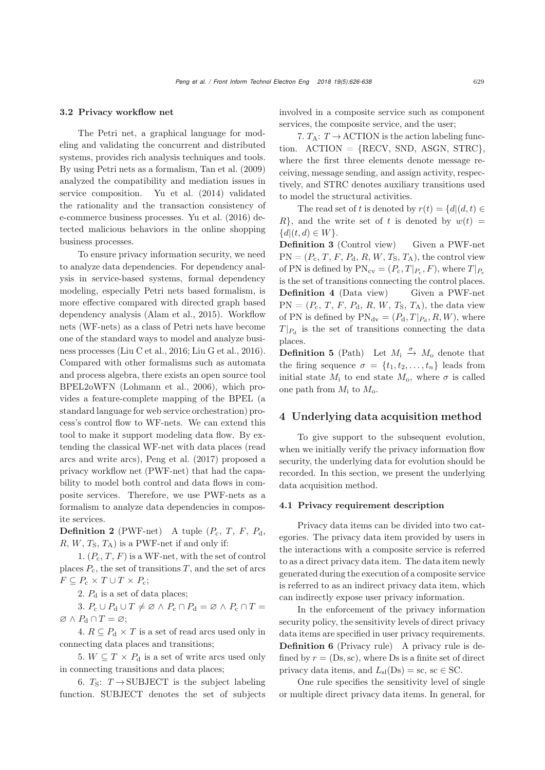#### 3.2 Privacy workflow net

The Petri net, a graphical language for modeling and validating the concurrent and distributed systems, provides rich analysis techniques and tools. By using Petri nets as a formalism, [Tan et al.](#page-12-11) [\(2009](#page-12-11)) analyzed the compatibility and mediation issues in service composition. [Yu et al.](#page-12-12) [\(2014\)](#page-12-12) validated the rationality and the transaction consistency of e-commerce business processes. [Yu et al.](#page-12-13) [\(2016\)](#page-12-13) detected malicious behaviors in the online shopping business processes.

To ensure privacy information security, we need to analyze data dependencies. For dependency analysis in service-based systems, formal dependency modeling, especially Petri nets based formalism, is more effective compared with directed graph based dependency analysis [\(Alam et al., 2015\)](#page-11-6). Workflow nets (WF-nets) as a class of Petri nets have become one of the standard ways to model and analyze business processes [\(Liu C et al., 2016;](#page-11-10) [Liu G et al.](#page-11-11), [2016\)](#page-11-11). Compared with other formalisms such as automata and process algebra, there exists an open source tool BPEL2oWFN [\(Lohmann et al., 2006](#page-11-12)), which provides a feature-complete mapping of the BPEL (a standard language for web service orchestration) process's control flow to WF-nets. We can extend this tool to make it support modeling data flow. By extending the classical WF-net with data places (read arcs and write arcs), [Peng et al.](#page-12-3) [\(2017\)](#page-12-3) proposed a privacy workflow net (PWF-net) that had the capability to model both control and data flows in composite services. Therefore, we use PWF-nets as a formalism to analyze data dependencies in composite services.

**Definition 2** (PWF-net) A tuple  $(P_c, T, F, P_d,$  $R, W, T_{\rm S}, T_{\rm A}$  is a PWF-net if and only if:

1.  $(P_c, T, F)$  is a WF-net, with the set of control places  $P_c$ , the set of transitions T, and the set of arcs  $F \subseteq P_{c} \times T \cup T \times P_{c};$ 

2.  $P_d$  is a set of data places;

3.  $P_c \cup P_d \cup T \neq \emptyset \land P_c \cap P_d = \emptyset \land P_c \cap T =$  $\varnothing \wedge P_{\rm d} \cap T = \varnothing;$ 

4.  $R \subseteq P_d \times T$  is a set of read arcs used only in connecting data places and transitions;

5.  $W \subseteq T \times P_d$  is a set of write arcs used only in connecting transitions and data places;

6.  $T_s$ :  $T \rightarrow$  SUBJECT is the subject labeling function. SUBJECT denotes the set of subjects involved in a composite service such as component services, the composite service, and the user;

7.  $T_A: T \to \text{ACTION}$  is the action labeling function.  $\text{ACTION} = \{\text{RECV}, \text{SND}, \text{ASGN}, \text{STRC}\},\$ where the first three elements denote message receiving, message sending, and assign activity, respectively, and STRC denotes auxiliary transitions used to model the structural activities.

The read set of t is denoted by  $r(t) = \{d | (d, t) \in$  $R$ , and the write set of t is denoted by  $w(t) =$  ${d|(t, d) \in W}.$ 

Definition 3 (Control view) Given a PWF-net  $PN = (P_c, T, F, P_d, R, W, T_S, T_A)$ , the control view of PN is defined by  $\text{PN}_{\text{cv}} = (P_{\text{c}}, T|_{P_{\text{c}}}, F)$ , where  $T|_{P_{\text{c}}}$ is the set of transitions connecting the control places. Definition 4 (Data view) Given a PWF-net  $PN = (P_c, T, F, P_d, R, W, T_S, T_A)$ , the data view of PN is defined by  $\text{PN}_{\text{dv}} = (P_{\text{d}}, T|_{P_{\text{d}}}, R, W)$ , where  $T|_{P_d}$  is the set of transitions connecting the data places.

**Definition 5** (Path) Let  $M_i \xrightarrow{\sigma} M_o$  denote that the firing sequence  $\sigma = \{t_1, t_2, \ldots, t_n\}$  leads from initial state  $M_i$  to end state  $M_0$ , where  $\sigma$  is called one path from  $M_i$  to  $M_o$ .

# <span id="page-3-0"></span>4 Underlying data acquisition method

To give support to the subsequent evolution, when we initially verify the privacy information flow security, the underlying data for evolution should be recorded. In this section, we present the underlying data acquisition method.

## 4.1 Privacy requirement description

Privacy data items can be divided into two categories. The privacy data item provided by users in the interactions with a composite service is referred to as a direct privacy data item. The data item newly generated during the execution of a composite service is referred to as an indirect privacy data item, which can indirectly expose user privacy information.

In the enforcement of the privacy information security policy, the sensitivity levels of direct privacy data items are specified in user privacy requirements. Definition 6 (Privacy rule) A privacy rule is defined by  $r = (Ds, sc)$ , where Ds is a finite set of direct privacy data items, and  $L_{\rm sl}(\text{Ds}) = \text{sc}$ , sc  $\in$  SC.

One rule specifies the sensitivity level of single or multiple direct privacy data items. In general, for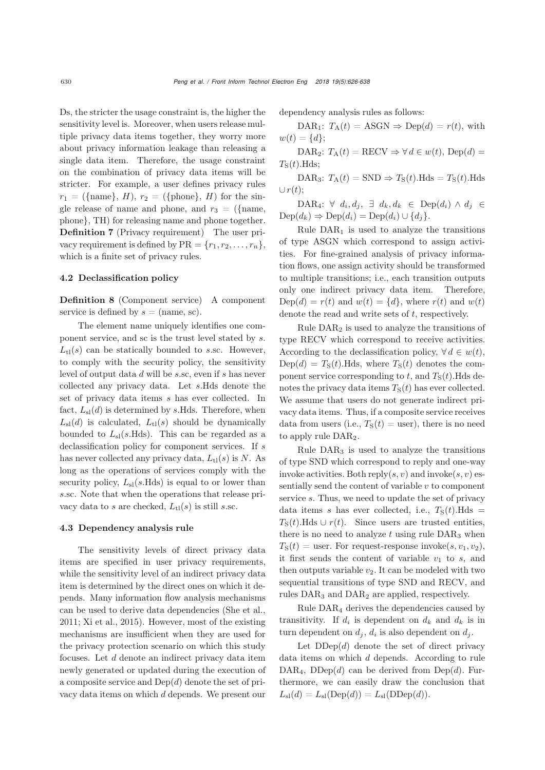Ds, the stricter the usage constraint is, the higher the sensitivity level is. Moreover, when users release multiple privacy data items together, they worry more about privacy information leakage than releasing a single data item. Therefore, the usage constraint on the combination of privacy data items will be stricter. For example, a user defines privacy rules  $r_1 = (\{\text{name}\}, H), r_2 = (\{\text{phone}\}, H)$  for the single release of name and phone, and  $r_3 = (\text{frame},$ phone}, TH) for releasing name and phone together. Definition 7 (Privacy requirement) The user privacy requirement is defined by  $PR = \{r_1, r_2, \ldots, r_n\},\$ which is a finite set of privacy rules.

## 4.2 Declassification policy

Definition 8 (Component service) A component service is defined by  $s = \text{(name, sc)}$ .

The element name uniquely identifies one component service, and sc is the trust level stated by s.  $L_{\text{tl}}(s)$  can be statically bounded to s.sc. However, to comply with the security policy, the sensitivity level of output data d will be s.sc, even if s has never collected any privacy data. Let s.Hds denote the set of privacy data items s has ever collected. In fact,  $L_{\rm sl}(d)$  is determined by s.Hds. Therefore, when  $L_{\rm sl}(d)$  is calculated,  $L_{\rm tl}(s)$  should be dynamically bounded to  $L_{\rm sl}(s.\text{Hds})$ . This can be regarded as a declassification policy for component services. If s has never collected any privacy data,  $L_{tl}(s)$  is N. As long as the operations of services comply with the security policy,  $L_{sl}(s,Hds)$  is equal to or lower than s.sc. Note that when the operations that release privacy data to s are checked,  $L_{tl}(s)$  is still s.sc.

## <span id="page-4-0"></span>4.3 Dependency analysis rule

The sensitivity levels of direct privacy data items are specified in user privacy requirements, while the sensitivity level of an indirect privacy data item is determined by the direct ones on which it depends. Many information flow analysis mechanisms can be used to derive data dependencies [\(She et al.](#page-12-14), [2011](#page-12-14); [Xi et al., 2015\)](#page-12-2). However, most of the existing mechanisms are insufficient when they are used for the privacy protection scenario on which this study focuses. Let d denote an indirect privacy data item newly generated or updated during the execution of a composite service and  $Dep(d)$  denote the set of privacy data items on which d depends. We present our

dependency analysis rules as follows:

DAR<sub>1</sub>:  $T_A(t) = \text{ASGN} \Rightarrow \text{Dep}(d) = r(t)$ , with  $w(t) = \{d\};$ 

DAR<sub>2</sub>:  $T_A(t) = \text{RECV} \Rightarrow \forall d \in w(t)$ , Dep $(d) =$  $T_{\rm S}(t)$ .Hds;

DAR<sub>3</sub>:  $T_A(t) =$ SND  $\Rightarrow$   $T_S(t)$ .Hds  $=$   $T_S(t)$ .Hds  $\cup$  r(t);

DAR<sub>4</sub>:  $\forall d_i, d_j, \exists d_k, d_k \in \text{Dep}(d_i) \land d_j \in$  $\text{Dep}(d_k) \Rightarrow \text{Dep}(d_i) = \text{Dep}(d_i) \cup \{d_i\}.$ 

Rule  $\mathrm{DAR}_1$  is used to analyze the transitions of type ASGN which correspond to assign activities. For fine-grained analysis of privacy information flows, one assign activity should be transformed to multiple transitions; i.e., each transition outputs only one indirect privacy data item. Therefore,  $Dep(d) = r(t)$  and  $w(t) = \{d\}$ , where  $r(t)$  and  $w(t)$ denote the read and write sets of  $t$ , respectively.

Rule  $\text{DAR}_2$  is used to analyze the transitions of type RECV which correspond to receive activities. According to the declassification policy,  $\forall d \in w(t)$ ,  $Dep(d) = T<sub>S</sub>(t)$ . Hds, where  $T<sub>S</sub>(t)$  denotes the component service corresponding to t, and  $T_S(t)$ . Hds denotes the privacy data items  $T<sub>S</sub>(t)$  has ever collected. We assume that users do not generate indirect privacy data items. Thus, if a composite service receives data from users (i.e.,  $T_S(t) =$  user), there is no need to apply rule  $\text{DAR}_2$ .

Rule  $\mathrm{DAR}_3$  is used to analyze the transitions of type SND which correspond to reply and one-way invoke activities. Both reply $(s, v)$  and invoke $(s, v)$  essentially send the content of variable  $v$  to component service s. Thus, we need to update the set of privacy data items s has ever collected, i.e.,  $T_S(t)$ . Hds =  $T_{\rm S}(t)$ .Hds  $\cup r(t)$ . Since users are trusted entities, there is no need to analyze  $t$  using rule DAR<sub>3</sub> when  $T_{\rm S}(t) =$  user. For request-response invoke $(s, v_1, v_2)$ , it first sends the content of variable  $v_1$  to s, and then outputs variable  $v_2$ . It can be modeled with two sequential transitions of type SND and RECV, and rules DAR<sup>3</sup> and DAR<sup>2</sup> are applied, respectively.

Rule DAR<sup>4</sup> derives the dependencies caused by transitivity. If  $d_i$  is dependent on  $d_k$  and  $d_k$  is in turn dependent on  $d_i$ ,  $d_i$  is also dependent on  $d_i$ .

Let  $DDep(d)$  denote the set of direct privacy data items on which d depends. According to rule  $\text{DAR}_4$ ,  $\text{DDep}(d)$  can be derived from  $\text{Dep}(d)$ . Furthermore, we can easily draw the conclusion that  $L_{\rm sl}(d) = L_{\rm sl}(\text{Dep}(d)) = L_{\rm sl}(\text{DDep}(d)).$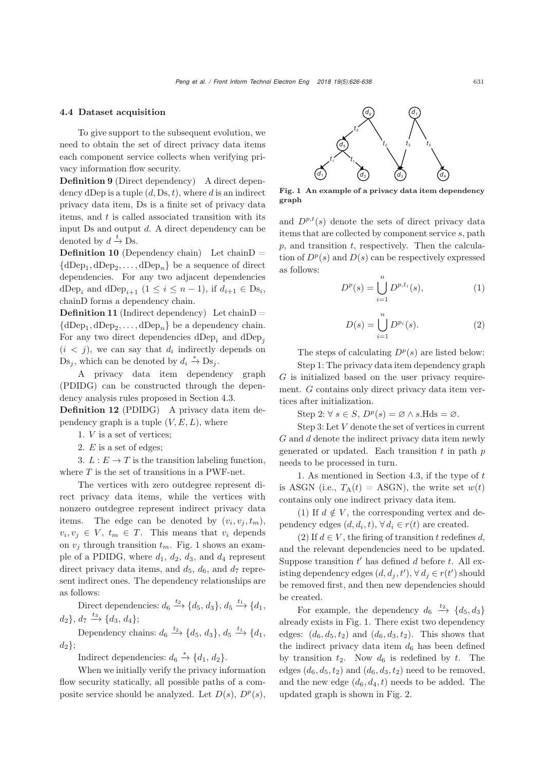#### 4.4 Dataset acquisition

To give support to the subsequent evolution, we need to obtain the set of direct privacy data items each component service collects when verifying privacy information flow security.

Definition 9 (Direct dependency) A direct dependency dDep is a tuple  $(d, Ds, t)$ , where d is an indirect privacy data item, Ds is a finite set of privacy data items, and  $t$  is called associated transition with its input Ds and output  $d$ . A direct dependency can be denoted by  $d \stackrel{t}{\rightarrow} \text{Ds}$ .

**Definition 10** (Dependency chain) Let chain $D =$  $\{\text{dDep}_1, \text{dDep}_2, \ldots, \text{dDep}_n\}$  be a sequence of direct dependencies. For any two adjacent dependencies dDep<sub>i</sub> and dDep<sub>i+1</sub>  $(1 \leq i \leq n-1)$ , if  $d_{i+1} \in \text{Ds}_i$ , chainD forms a dependency chain.

**Definition 11** (Indirect dependency) Let chain $D =$  $\{dDep_1, dDep_2, \ldots, dDep_n\}$  be a dependency chain. For any two direct dependencies dDep<sub>i</sub> and dDep<sub>i</sub>  $(i < j)$ , we can say that  $d_i$  indirectly depends on  $\mathrm{Ds}_j$ , which can be denoted by  $d_i \overset{*}{\to} \mathrm{Ds}_j$ .

A privacy data item dependency graph (PDIDG) can be constructed through the dependency analysis rules proposed in Section [4.3.](#page-4-0)

Definition 12 (PDIDG) A privacy data item dependency graph is a tuple  $(V, E, L)$ , where

1. V is a set of vertices;

2. E is a set of edges;

3.  $L : E \to T$  is the transition labeling function, where  $T$  is the set of transitions in a PWF-net.

The vertices with zero outdegree represent direct privacy data items, while the vertices with nonzero outdegree represent indirect privacy data items. The edge can be denoted by  $(v_i, v_j, t_m)$ ,  $v_i, v_j \in V$ ,  $t_m \in T$ . This means that  $v_i$  depends on  $v_j$  through transition  $t_m$ . Fig. [1](#page-5-0) shows an example of a PDIDG, where  $d_1$ ,  $d_2$ ,  $d_3$ , and  $d_4$  represent direct privacy data items, and  $d_5$ ,  $d_6$ , and  $d_7$  represent indirect ones. The dependency relationships are as follows:

Direct dependencies:  $d_6 \stackrel{t_2}{\longrightarrow} \{d_5, d_3\}, d_5 \stackrel{t_1}{\longrightarrow} \{d_1,$  $d_2$ ,  $d_7 \xrightarrow{t_3} \{d_3, d_4\};$ 

Dependency chains:  $d_6 \xrightarrow{t_2} \{d_5, d_3\}, d_5 \xrightarrow{t_1} \{d_1,$  $d_2$  };

Indirect dependencies:  $d_6 \stackrel{*}{\rightarrow} \{d_1, d_2\}.$ 

When we initially verify the privacy information flow security statically, all possible paths of a composite service should be analyzed. Let  $D(s)$ ,  $D^p(s)$ ,



<span id="page-5-0"></span>Fig. 1 An example of a privacy data item dependency graph

and  $D^{p,t}(s)$  denote the sets of direct privacy data items that are collected by component service s, path  $p$ , and transition  $t$ , respectively. Then the calculation of  $D^p(s)$  and  $D(s)$  can be respectively expressed as follows:

<span id="page-5-1"></span>
$$
D^{p}(s) = \bigcup_{i=1}^{n} D^{p,t_i}(s),
$$
 (1)

<span id="page-5-2"></span>
$$
D(s) = \bigcup_{i=1}^{n} D^{p_i}(s).
$$
 (2)

The steps of calculating  $D^p(s)$  are listed below:

Step 1: The privacy data item dependency graph  $G$  is initialized based on the user privacy requirement. G contains only direct privacy data item vertices after initialization.

Step 2:  $\forall s \in S$ ,  $D^p(s) = \emptyset \wedge s$ . Hds =  $\emptyset$ .

Step 3: Let V denote the set of vertices in current G and d denote the indirect privacy data item newly generated or updated. Each transition  $t$  in path  $p$ needs to be processed in turn.

1. As mentioned in Section [4.3,](#page-4-0) if the type of  $t$ is ASGN (i.e.,  $T_A(t) = \text{ASGN}$ ), the write set  $w(t)$ contains only one indirect privacy data item.

(1) If  $d \notin V$ , the corresponding vertex and dependency edges  $(d, d_i, t)$ ,  $\forall d_i \in r(t)$  are created.

(2) If  $d \in V$ , the firing of transition t redefines d, and the relevant dependencies need to be updated. Suppose transition  $t'$  has defined d before  $t$ . All existing dependency edges  $(d, d_j, t')$ ,  $\forall d_j \in r(t')$  should be removed first, and then new dependencies should be created.

For example, the dependency  $d_6 \stackrel{t_2}{\longrightarrow} \{d_5, d_3\}$ already exists in Fig. [1.](#page-5-0) There exist two dependency edges:  $(d_6, d_5, t_2)$  and  $(d_6, d_3, t_2)$ . This shows that the indirect privacy data item  $d_6$  has been defined by transition  $t_2$ . Now  $d_6$  is redefined by  $t$ . The edges  $(d_6, d_5, t_2)$  and  $(d_6, d_3, t_2)$  need to be removed, and the new edge  $(d_6, d_4, t)$  needs to be added. The updated graph is shown in Fig. [2.](#page-6-0)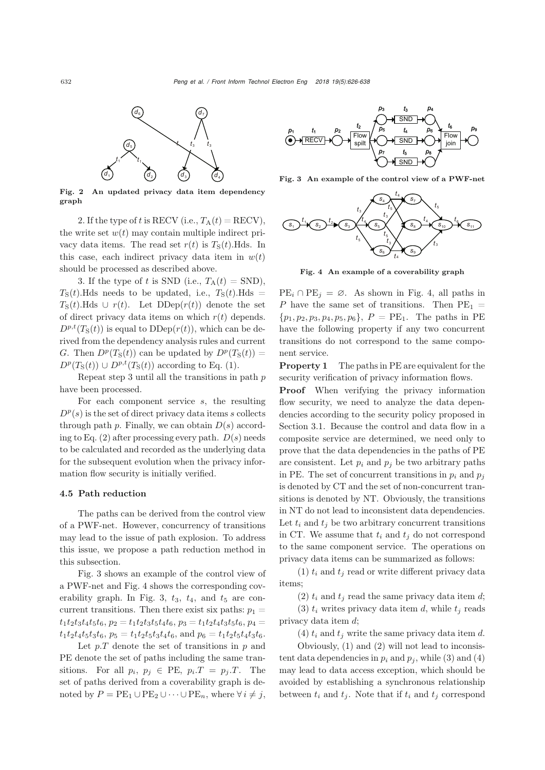

<span id="page-6-0"></span>Fig. 2 An updated privacy data item dependency graph

2. If the type of t is RECV (i.e.,  $T_A(t) = \text{RECV}$ ), the write set  $w(t)$  may contain multiple indirect privacy data items. The read set  $r(t)$  is  $T<sub>S</sub>(t)$ . Hds. In this case, each indirect privacy data item in  $w(t)$ should be processed as described above.

3. If the type of t is SND (i.e.,  $T_A(t) =$  SND),  $T<sub>S</sub>(t)$ .Hds needs to be updated, i.e.,  $T<sub>S</sub>(t)$ .Hds =  $T_{\rm S}(t)$ .Hds  $\cup$   $r(t)$ . Let DDep $(r(t))$  denote the set of direct privacy data items on which  $r(t)$  depends.  $D^{p,t}(T_{\rm S}(t))$  is equal to  $D\text{Dep}(r(t))$ , which can be derived from the dependency analysis rules and current G. Then  $D^p(T_S(t))$  can be updated by  $D^p(T_S(t)) =$  $D^p(T_S(t)) \cup D^{p,t}(T_S(t))$  according to Eq. [\(1\)](#page-5-1).

Repeat step 3 until all the transitions in path  $p$ have been processed.

For each component service s, the resulting  $D^p(s)$  is the set of direct privacy data items s collects through path p. Finally, we can obtain  $D(s)$  according to Eq.  $(2)$  after processing every path.  $D(s)$  needs to be calculated and recorded as the underlying data for the subsequent evolution when the privacy information flow security is initially verified.

#### 4.5 Path reduction

The paths can be derived from the control view of a PWF-net. However, concurrency of transitions may lead to the issue of path explosion. To address this issue, we propose a path reduction method in this subsection.

Fig. [3](#page-6-1) shows an example of the control view of a PWF-net and Fig. [4](#page-6-2) shows the corresponding cov-erability graph. In Fig. [3,](#page-6-1)  $t_3$ ,  $t_4$ , and  $t_5$  are concurrent transitions. Then there exist six paths:  $p_1 =$  $t_1t_2t_3t_4t_5t_6, p_2 = t_1t_2t_3t_5t_4t_6, p_3 = t_1t_2t_4t_3t_5t_6, p_4 =$  $t_1t_2t_4t_5t_3t_6$ ,  $p_5 = t_1t_2t_5t_3t_4t_6$ , and  $p_6 = t_1t_2t_5t_4t_3t_6$ .

Let  $p.T$  denote the set of transitions in  $p$  and PE denote the set of paths including the same transitions. For all  $p_i, p_j \in PE, p_i.T = p_j.T.$  The set of paths derived from a coverability graph is denoted by  $P = PE_1 \cup PE_2 \cup \cdots \cup PE_n$ , where  $\forall i \neq j$ ,



<span id="page-6-1"></span>Fig. 3 An example of the control view of a PWF-net



<span id="page-6-2"></span>Fig. 4 An example of a coverability graph

 $PE_i \cap PE_j = \emptyset$ . As shown in Fig. [4,](#page-6-2) all paths in P have the same set of transitions. Then  $PE_1 =$  ${p_1, p_2, p_3, p_4, p_5, p_6}$ ,  $P = PE_1$ . The paths in PE have the following property if any two concurrent transitions do not correspond to the same component service.

Property 1 The paths in PE are equivalent for the security verification of privacy information flows.

Proof When verifying the privacy information flow security, we need to analyze the data dependencies according to the security policy proposed in Section [3.1.](#page-2-0) Because the control and data flow in a composite service are determined, we need only to prove that the data dependencies in the paths of PE are consistent. Let  $p_i$  and  $p_j$  be two arbitrary paths in PE. The set of concurrent transitions in  $p_i$  and  $p_j$ is denoted by CT and the set of non-concurrent transitions is denoted by NT. Obviously, the transitions in NT do not lead to inconsistent data dependencies. Let  $t_i$  and  $t_j$  be two arbitrary concurrent transitions in CT. We assume that  $t_i$  and  $t_j$  do not correspond to the same component service. The operations on privacy data items can be summarized as follows:

(1)  $t_i$  and  $t_j$  read or write different privacy data items;

(2)  $t_i$  and  $t_j$  read the same privacy data item d;

(3)  $t_i$  writes privacy data item d, while  $t_i$  reads privacy data item d;

(4)  $t_i$  and  $t_j$  write the same privacy data item d.

Obviously, (1) and (2) will not lead to inconsistent data dependencies in  $p_i$  and  $p_j$ , while (3) and (4) may lead to data access exception, which should be avoided by establishing a synchronous relationship between  $t_i$  and  $t_j$ . Note that if  $t_i$  and  $t_j$  correspond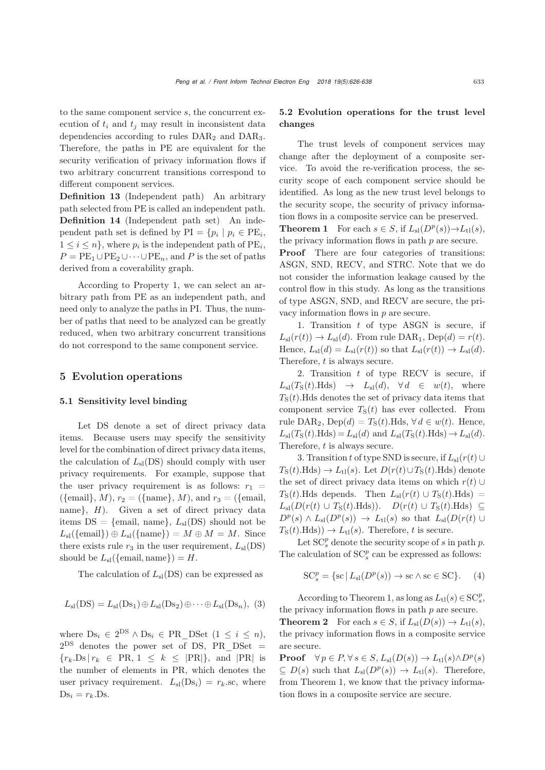to the same component service s, the concurrent execution of  $t_i$  and  $t_j$  may result in inconsistent data dependencies according to rules  $\text{DAR}_2$  and  $\text{DAR}_3$ . Therefore, the paths in PE are equivalent for the security verification of privacy information flows if two arbitrary concurrent transitions correspond to different component services.

Definition 13 (Independent path) An arbitrary path selected from PE is called an independent path. Definition 14 (Independent path set) An independent path set is defined by  $PI = \{p_i \mid p_i \in PE_i,$  $1 \leq i \leq n$ , where  $p_i$  is the independent path of  $PE_i$ ,  $P = PE_1 \cup PE_2 \cup \cdots \cup PE_n$ , and P is the set of paths derived from a coverability graph.

According to Property 1, we can select an arbitrary path from PE as an independent path, and need only to analyze the paths in PI. Thus, the number of paths that need to be analyzed can be greatly reduced, when two arbitrary concurrent transitions do not correspond to the same component service.

## 5 Evolution operations

## 5.1 Sensitivity level binding

Let DS denote a set of direct privacy data items. Because users may specify the sensitivity level for the combination of direct privacy data items, the calculation of  $L_{\rm sl}({\rm DS})$  should comply with user privacy requirements. For example, suppose that the user privacy requirement is as follows:  $r_1$  =  $({\text{small}}, M), r_2 = ({\text{name}}, M), \text{and } r_3 = ({\text{email}},$ name},  $H$ ). Given a set of direct privacy data items  $DS = \{\text{email}, \text{name}\}, L_{\text{sl}}(DS) \text{ should not be}$  $L_{\rm sl}(\{\text{email}\}) \oplus L_{\rm sl}(\{\text{name}\}) = M \oplus M = M$ . Since there exists rule  $r_3$  in the user requirement,  $L_{\rm sl}({\rm DS})$ should be  $L_{\rm sl}(\{\text{email}, \text{name}\}) = H$ .

The calculation of  $L_{sl}(DS)$  can be expressed as

<span id="page-7-2"></span>
$$
L_{\rm sl}({\rm DS})=L_{\rm sl}({\rm Ds}_1)\oplus L_{\rm sl}({\rm Ds}_2)\oplus\cdots\oplus L_{\rm sl}({\rm Ds}_n),\,\,(3)
$$

where  $Ds_i \in 2^{DS} \wedge Ds_i \in PR$  DSet  $(1 \leq i \leq n)$ ,  $2^{DS}$  denotes the power set of DS, PR DSet =  ${r_k, \text{Ds} | r_k \in \text{PR}, 1 \leq k \leq \text{PR}}$ , and  $|\text{PR}|$  is the number of elements in PR, which denotes the user privacy requirement.  $L_{sl}(Ds_i) = r_k$  sc, where  $Ds_i = r_k$ .Ds.

## 5.2 Evolution operations for the trust level changes

The trust levels of component services may change after the deployment of a composite service. To avoid the re-verification process, the security scope of each component service should be identified. As long as the new trust level belongs to the security scope, the security of privacy information flows in a composite service can be preserved.

<span id="page-7-0"></span>**Theorem 1** For each  $s \in S$ , if  $L_{\rm sl}(D^p(s)) \to L_{\rm tl}(s)$ , the privacy information flows in path p are secure.

Proof There are four categories of transitions: ASGN, SND, RECV, and STRC. Note that we do not consider the information leakage caused by the control flow in this study. As long as the transitions of type ASGN, SND, and RECV are secure, the privacy information flows in p are secure.

1. Transition  $t$  of type ASGN is secure, if  $L_{\rm sl}(r(t)) \to L_{\rm sl}(d)$ . From rule DAR<sub>1</sub>, Dep(d) =  $r(t)$ . Hence,  $L_{\rm sl}(d) = L_{\rm sl}(r(t))$  so that  $L_{\rm sl}(r(t)) \to L_{\rm sl}(d)$ . Therefore, t is always secure.

2. Transition t of type RECV is secure, if  $L_{\rm sl}(T_{\rm S}(t).Hds) \rightarrow L_{\rm sl}(d), \forall d \in w(t), \text{ where}$  $T<sub>S</sub>(t)$ . Hds denotes the set of privacy data items that component service  $T<sub>S</sub>(t)$  has ever collected. From rule DAR<sub>2</sub>, Dep(d) =  $T_S(t)$ .Hds,  $\forall d \in w(t)$ . Hence,  $L_{\rm sl}(T_{\rm S}(t).Hds) = L_{\rm sl}(d)$  and  $L_{\rm sl}(T_{\rm S}(t).Hds) \rightarrow L_{\rm sl}(d)$ . Therefore, t is always secure.

3. Transition t of type SND is secure, if  $L_{\rm sl}(r(t) \cup$  $T_{\rm S}(t)$ .Hds)  $\rightarrow$   $L_{\rm t1}(s)$ . Let  $D(r(t) \cup T_{\rm S}(t)$ .Hds) denote the set of direct privacy data items on which  $r(t)$  ∪  $T_{\rm S}(t)$ .Hds depends. Then  $L_{\rm sl}(r(t) \cup T_{\rm S}(t)$ .Hds) =  $L_{\rm sl}(D(r(t) \cup T_{\rm S}(t).Hds)).$   $D(r(t) \cup T_{\rm S}(t).Hds) \subseteq$  $D^p(s) \wedge L_{\rm sl}(D^p(s)) \rightarrow L_{\rm tl}(s)$  so that  $L_{\rm sl}(D(r(t)) \cup$  $T_{\rm S}(t)$ .Hds))  $\rightarrow$   $L_{\rm tl}(s)$ . Therefore, t is secure.

Let  $SC_s^p$  denote the security scope of s in path p. The calculation of  $\mathbf{SC}_{s}^{p}$  can be expressed as follows:

$$
SC_s^p = \{ sc \mid L_{sl}(D^p(s)) \to sc \land sc \in SC \}. \tag{4}
$$

<span id="page-7-1"></span>According to Theorem [1,](#page-7-0) as long as  $L_{tl}(s) \in \mathcal{SC}_s^p$ , the privacy information flows in path  $p$  are secure. **Theorem 2** For each  $s \in S$ , if  $L_{sl}(D(s)) \to L_{tl}(s)$ , the privacy information flows in a composite service

are secure.

**Proof**  $\forall p \in P, \forall s \in S, L_{\rm sl}(D(s)) \rightarrow L_{\rm tl}(s) \wedge D^p(s)$  $\subseteq D(s)$  such that  $L_{\rm sl}(D^p(s)) \to L_{\rm tl}(s)$ . Therefore, from Theorem [1,](#page-7-0) we know that the privacy information flows in a composite service are secure.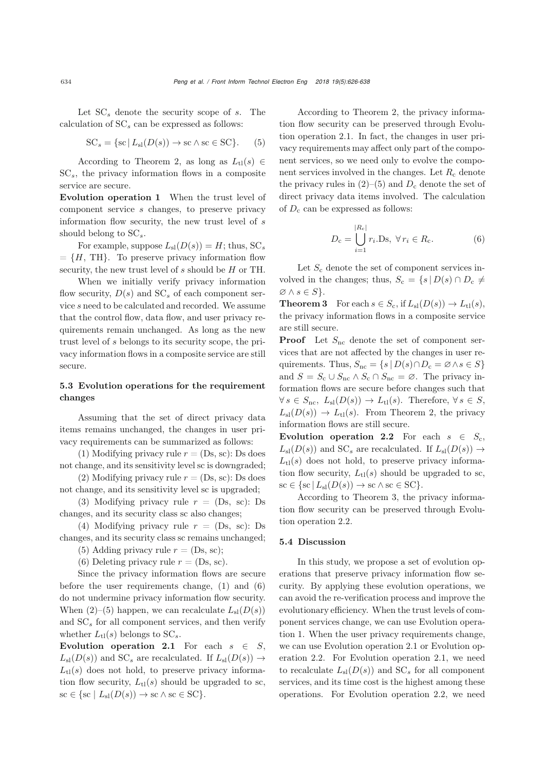Let  $SC_s$  denote the security scope of s. The calculation of  $SC_s$  can be expressed as follows:

<span id="page-8-1"></span>
$$
SC_s = \{ sc \mid L_{sl}(D(s)) \to sc \land sc \in SC \}. \tag{5}
$$

According to Theorem [2,](#page-7-1) as long as  $L_{tl}(s) \in$  $SC_s$ , the privacy information flows in a composite service are secure.

Evolution operation 1 When the trust level of component service s changes, to preserve privacy information flow security, the new trust level of s should belong to  $SC_s$ .

For example, suppose  $L_{\rm sl}(D(s)) = H$ ; thus, SC<sub>s</sub>  $= \{H, TH\}.$  To preserve privacy information flow security, the new trust level of s should be H or TH.

When we initially verify privacy information flow security,  $D(s)$  and  $SC_s$  of each component service s need to be calculated and recorded. We assume that the control flow, data flow, and user privacy requirements remain unchanged. As long as the new trust level of s belongs to its security scope, the privacy information flows in a composite service are still secure.

## 5.3 Evolution operations for the requirement changes

Assuming that the set of direct privacy data items remains unchanged, the changes in user privacy requirements can be summarized as follows:

(1) Modifying privacy rule  $r = (Ds, sc)$ : Ds does not change, and its sensitivity level sc is downgraded;

(2) Modifying privacy rule  $r = (Ds, sc)$ : Ds does not change, and its sensitivity level sc is upgraded;

(3) Modifying privacy rule  $r = (Ds, sc)$ : Ds changes, and its security class sc also changes;

(4) Modifying privacy rule  $r = (Ds, sc)$ : Ds changes, and its security class sc remains unchanged;

(5) Adding privacy rule  $r = (Ds, sc);$ 

(6) Deleting privacy rule  $r = (Ds, sc)$ .

Since the privacy information flows are secure before the user requirements change, (1) and (6) do not undermine privacy information flow security. When  $(2)$ – $(5)$  happen, we can recalculate  $L_{\rm sl}(D(s))$ and  $SC<sub>s</sub>$  for all component services, and then verify whether  $L_{\text{tl}}(s)$  belongs to  $\text{SC}_s$ .

Evolution operation 2.1 For each  $s \in S$ ,  $L_{\rm sl}(D(s))$  and SC<sub>s</sub> are recalculated. If  $L_{\rm sl}(D(s)) \rightarrow$  $L_{\text{tl}}(s)$  does not hold, to preserve privacy information flow security,  $L_{tl}(s)$  should be upgraded to sc,  $\mathrm{sc} \in \{ \mathrm{sc} \mid L_{\mathrm{sl}}(D(s)) \to \mathrm{sc} \wedge \mathrm{sc} \in \mathrm{SC} \}.$ 

According to Theorem [2,](#page-7-1) the privacy information flow security can be preserved through Evolution operation 2.1. In fact, the changes in user privacy requirements may affect only part of the component services, so we need only to evolve the component services involved in the changes. Let  $R_c$  denote the privacy rules in  $(2)$ – $(5)$  and  $D_c$  denote the set of direct privacy data items involved. The calculation of  $D_c$  can be expressed as follows:

$$
D_{\rm c} = \bigcup_{i=1}^{|R_{\rm c}|} r_i \cdot \text{Ds}, \ \forall \, r_i \in R_{\rm c}.\tag{6}
$$

Let  $S_c$  denote the set of component services involved in the changes; thus,  $S_c = \{s | D(s) \cap D_c \neq$  $\emptyset \wedge s \in S$ .

<span id="page-8-0"></span>**Theorem 3** For each  $s \in S_c$ , if  $L_{sl}(D(s)) \to L_{tl}(s)$ , the privacy information flows in a composite service are still secure.

**Proof** Let  $S_{nc}$  denote the set of component services that are not affected by the changes in user requirements. Thus,  $S_{nc} = \{s | D(s) \cap D_c = \emptyset \land s \in S\}$ and  $S = S_c \cup S_{nc} \wedge S_c \cap S_{nc} = \emptyset$ . The privacy information flows are secure before changes such that  $\forall s \in S_{\text{nc}}, L_{\text{sl}}(D(s)) \to L_{\text{tl}}(s)$ . Therefore,  $\forall s \in S$ ,  $L_{\rm sl}(D(s)) \to L_{\rm tl}(s)$ . From Theorem [2,](#page-7-1) the privacy information flows are still secure.

Evolution operation 2.2 For each  $s \in S_c$ ,  $L_{\rm sl}(D(s))$  and SC<sub>s</sub> are recalculated. If  $L_{\rm sl}(D(s)) \rightarrow$  $L_{\text{tl}}(s)$  does not hold, to preserve privacy information flow security,  $L_{tl}(s)$  should be upgraded to sc,  $\mathrm{sc} \in \{ \mathrm{sc} \mid L_{\mathrm{sl}}(D(s)) \to \mathrm{sc} \wedge \mathrm{sc} \in \mathrm{SC} \}.$ 

According to Theorem [3,](#page-8-0) the privacy information flow security can be preserved through Evolution operation 2.2.

## 5.4 Discussion

In this study, we propose a set of evolution operations that preserve privacy information flow security. By applying these evolution operations, we can avoid the re-verification process and improve the evolutionary efficiency. When the trust levels of component services change, we can use Evolution operation 1. When the user privacy requirements change, we can use Evolution operation 2.1 or Evolution operation 2.2. For Evolution operation 2.1, we need to recalculate  $L_{\rm sl}(D(s))$  and  $SC_s$  for all component services, and its time cost is the highest among these operations. For Evolution operation 2.2, we need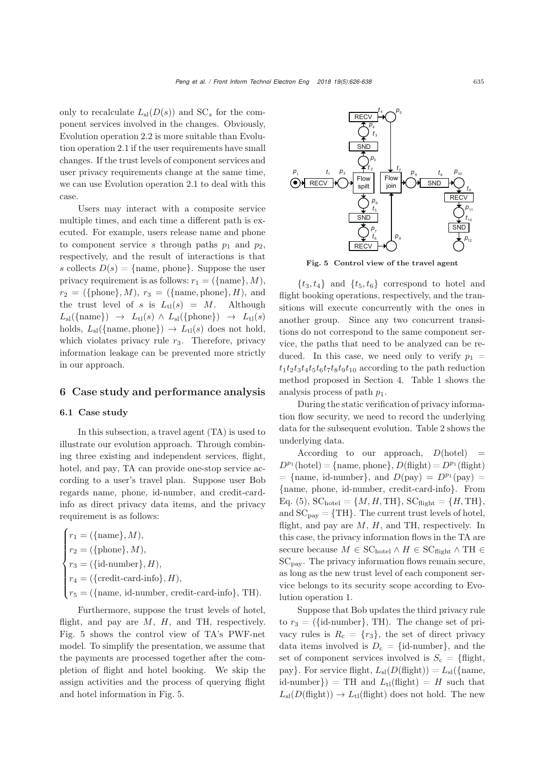only to recalculate  $L_{\rm sl}(D(s))$  and  $SC_s$  for the component services involved in the changes. Obviously, Evolution operation 2.2 is more suitable than Evolution operation 2.1 if the user requirements have small changes. If the trust levels of component services and user privacy requirements change at the same time, we can use Evolution operation 2.1 to deal with this case.

Users may interact with a composite service multiple times, and each time a different path is executed. For example, users release name and phone to component service s through paths  $p_1$  and  $p_2$ , respectively, and the result of interactions is that s collects  $D(s) = \{name, phone\}$ . Suppose the user privacy requirement is as follows:  $r_1 = (\{\text{name}\}, M),$  $r_2 = (\{\text{phone}\}, M), r_3 = (\{\text{name}, \text{phone}\}, H), \text{ and}$ the trust level of s is  $L_{tl}(s) = M$ . Although  $L_{\rm sl}(\{\text{name}\}) \rightarrow L_{\rm tl}(s) \land L_{\rm sl}(\{\text{phone}\}) \rightarrow L_{\rm tl}(s)$ holds,  $L_{\rm sl}(\{\text{name}, \text{phone}\}) \rightarrow L_{\rm tl}(s)$  does not hold, which violates privacy rule  $r_3$ . Therefore, privacy information leakage can be prevented more strictly in our approach.

# 6 Case study and performance analysis

#### 6.1 Case study

In this subsection, a travel agent (TA) is used to illustrate our evolution approach. Through combining three existing and independent services, flight, hotel, and pay, TA can provide one-stop service according to a user's travel plan. Suppose user Bob regards name, phone, id-number, and credit-cardinfo as direct privacy data items, and the privacy requirement is as follows:

 $\sqrt{ }$  $\int$  $\begin{bmatrix} \frac{1}{\sqrt{2}} & \frac{1}{\sqrt{2}} \\ \frac{1}{\sqrt{2}} & \frac{1}{\sqrt{2}} \\ \frac{1}{\sqrt{2}} & \frac{1}{\sqrt{2}} \end{bmatrix}$  $r_1 = (\{\text{name}\}, M),$  $r_2 = (\{\text{phone}\}, M),$  $r_3 = (\text{id-number}, H),$  $r_4 = (\{ \text{credit-card-info} \}, H),$  $r_5 = (\text{frame, id-number, credit-card-info}, TH).$ 

Furthermore, suppose the trust levels of hotel, flight, and pay are  $M$ ,  $H$ , and TH, respectively. Fig. [5](#page-9-0) shows the control view of TA's PWF-net model. To simplify the presentation, we assume that the payments are processed together after the completion of flight and hotel booking. We skip the assign activities and the process of querying flight and hotel information in Fig. [5.](#page-9-0)



<span id="page-9-0"></span>Fig. 5 Control view of the travel agent

 $\{t_3,t_4\}$  and  $\{t_5,t_6\}$  correspond to hotel and flight booking operations, respectively, and the transitions will execute concurrently with the ones in another group. Since any two concurrent transitions do not correspond to the same component service, the paths that need to be analyzed can be reduced. In this case, we need only to verify  $p_1 =$  $t_1t_2t_3t_4t_5t_6t_7t_8t_9t_{10}$  according to the path reduction method proposed in Section [4.](#page-3-0) Table [1](#page-10-0) shows the analysis process of path  $p_1$ .

During the static verification of privacy information flow security, we need to record the underlying data for the subsequent evolution. Table [2](#page-10-1) shows the underlying data.

According to our approach,  $D(hotel)$  =  $D^{p_1}(\text{hotel}) = \{\text{name}, \text{phone}\}, D(\text{flight}) = D^{p_1}(\text{flight})$  $=$  {name, id-number}, and  $D(\text{pay}) = D^{p_1}(\text{pay}) =$ {name, phone, id-number, credit-card-info}. From Eq. [\(5\)](#page-8-1),  $SC_{\text{hotel}} = \{M, H, TH\}$ ,  $SC_{\text{flight}} = \{H, TH\}$ , and  $SC<sub>pay</sub> = {TH}.$  The current trust levels of hotel, flight, and pay are  $M$ ,  $H$ , and TH, respectively. In this case, the privacy information flows in the TA are secure because  $M \in \text{SC}_{\text{hotel}} \land H \in \text{SC}_{\text{flight}} \land \text{TH} \in$  $SC<sub>pay</sub>$ . The privacy information flows remain secure, as long as the new trust level of each component service belongs to its security scope according to Evolution operation 1.

Suppose that Bob updates the third privacy rule to  $r_3 = (\text{id-number}, TH)$ . The change set of privacy rules is  $R_c = \{r_3\}$ , the set of direct privacy data items involved is  $D_c = \{\text{id-number}\},\,$  and the set of component services involved is  $S_c = \{\text{flight},\}$ pay}. For service flight,  $L_{\rm sl}(D(\text{flight})) = L_{\rm sl}(\{\text{name},$ id-number}) = TH and  $L_{tl}$ (flight) = H such that  $L_{\rm sl}(D(\text{flight})) \rightarrow L_{\rm tl}(\text{flight})$  does not hold. The new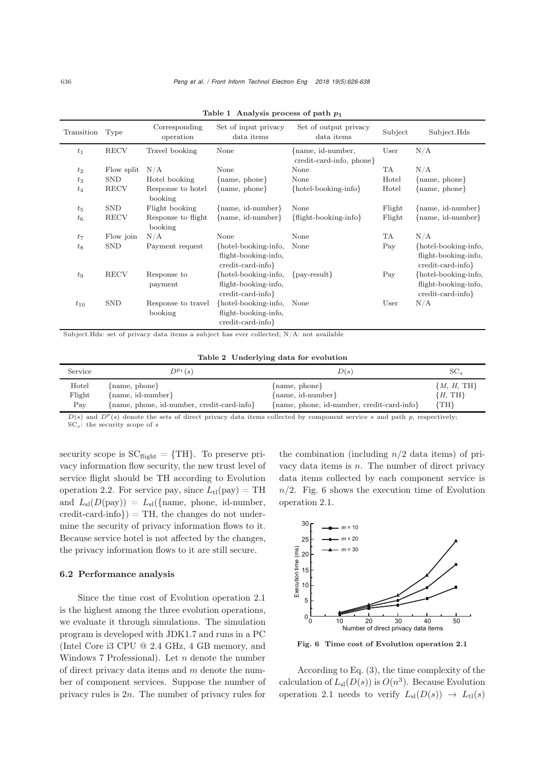| Transition | Type        | Corresponding<br>operation    | Set of input privacy<br>data items                                   | Set of output privacy<br>data items                                              | Subject | Subject.Hds                                                          |
|------------|-------------|-------------------------------|----------------------------------------------------------------------|----------------------------------------------------------------------------------|---------|----------------------------------------------------------------------|
| $t_1$      | <b>RECV</b> | Travel booking                | None                                                                 | {name, id-number,<br>$\{\operatorname{credit-card-info}, \operatorname{phone}\}$ | User    | N/A                                                                  |
| $t_2$      | Flow split  | N/A                           | None                                                                 | None                                                                             | TA      | N/A                                                                  |
| $t_3$      | <b>SND</b>  | Hotel booking                 | {name, phone}                                                        | None                                                                             | Hotel   | $\{name, phone\}$                                                    |
| $t_4$      | <b>RECV</b> | Response to hotel<br>booking  | ${\{name, phone\}}$                                                  | {hotel-booking-info}                                                             | Hotel   | $\{name, phone\}$                                                    |
| $t_5$      | <b>SND</b>  | Flight booking                | ${\{name, id-number\}}$                                              | None                                                                             | Flight  | ${\{name, id-number\}}$                                              |
| $t_6$      | <b>RECV</b> | Response to flight<br>booking | {name, id-number}                                                    | {flight-booking-info}                                                            | Flight  | ${\{name, id-number\}}$                                              |
| $t_7$      | Flow join   | N/A                           | None                                                                 | None                                                                             | TA      | N/A                                                                  |
| $t_8$      | <b>SND</b>  | Payment request               | {hotel-booking-info,<br>flight-booking-info,<br>$credit-card-info$ } | None                                                                             | Pay     | {hotel-booking-info,<br>flight-booking-info,<br>$credit-card-info$ } |
| $t_{9}$    | <b>RECV</b> | Response to<br>payment        | {hotel-booking-info,<br>flight-booking-info,<br>$credit-card-info$ } | $\{pay-result\}$                                                                 | Pay     | {hotel-booking-info,<br>flight-booking-info,<br>$credit-card-info$ } |
| $t_{10}$   | <b>SND</b>  | Response to travel<br>booking | {hotel-booking-info,<br>flight-booking-info,<br>$credit-card-info$ } | None                                                                             | User    | N/A                                                                  |

<span id="page-10-0"></span>Table 1 Analysis process of path *p***<sup>1</sup>**

Subject.Hds: set of privacy data items a subject has ever collected; N/A: not available

<span id="page-10-1"></span>Table 2 Underlying data for evolution

| Service | $D^{p_1}(s)$                               | D(s)                                       | $SC_s$       |
|---------|--------------------------------------------|--------------------------------------------|--------------|
| Hotel   | ${\{name, phone\}}$                        | ${\{name, phone\}}$                        | ${M, H, TH}$ |
| Flight  | ${\{name, id-number\}}$                    | ${\{name, id-number\}}$                    | ${H, TH}$    |
| Pay     | {name, phone, id-number, credit-card-info} | {name, phone, id-number, credit-card-info} | $\{TH\}$     |

 $D(s)$  and  $D<sup>p</sup>(s)$  denote the sets of direct privacy data items collected by component service s and path p, respectively;  $\mathrm{SC}_s\colon$  the security scope of  $s$ 

security scope is  $SC_{flight} = \{TH\}$ . To preserve privacy information flow security, the new trust level of service flight should be TH according to Evolution operation 2.2. For service pay, since  $L_{tl}(pay) = TH$ and  $L_{\rm sl}(D(\text{pay})) = L_{\rm sl}(\text{name, phone, id-number},$ credit-card-info} $) = TH$ , the changes do not undermine the security of privacy information flows to it. Because service hotel is not affected by the changes, the privacy information flows to it are still secure.

## 6.2 Performance analysis

Since the time cost of Evolution operation 2.1 is the highest among the three evolution operations, we evaluate it through simulations. The simulation program is developed with JDK1.7 and runs in a PC (Intel Core i3 CPU @ 2.4 GHz, 4 GB memory, and Windows 7 Professional). Let  $n$  denote the number of direct privacy data items and  $m$  denote the number of component services. Suppose the number of privacy rules is 2n. The number of privacy rules for

the combination (including  $n/2$  data items) of privacy data items is  $n$ . The number of direct privacy data items collected by each component service is  $n/2$ . Fig. [6](#page-10-2) shows the execution time of Evolution operation 2.1.



<span id="page-10-2"></span>Fig. 6 Time cost of Evolution operation 2.1

According to Eq. [\(3\)](#page-7-2), the time complexity of the calculation of  $L_{\rm sl}(D(s))$  is  $O(n^3)$ . Because Evolution operation 2.1 needs to verify  $L_{\rm sl}(D(s)) \rightarrow L_{\rm tl}(s)$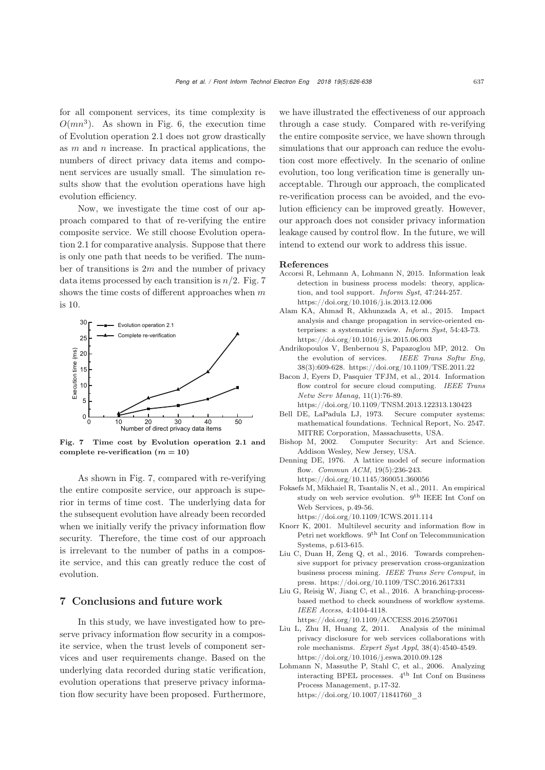for all component services, its time complexity is  $O(mn^3)$ . As shown in Fig. [6,](#page-10-2) the execution time of Evolution operation 2.1 does not grow drastically as  $m$  and  $n$  increase. In practical applications, the numbers of direct privacy data items and component services are usually small. The simulation results show that the evolution operations have high evolution efficiency.

Now, we investigate the time cost of our approach compared to that of re-verifying the entire composite service. We still choose Evolution operation 2.1 for comparative analysis. Suppose that there is only one path that needs to be verified. The number of transitions is  $2m$  and the number of privacy data items processed by each transition is  $n/2$ . Fig. [7](#page-11-13) shows the time costs of different approaches when  $m$ is 10.



<span id="page-11-13"></span>Fig. 7 Time cost by Evolution operation 2.1 and complete re-verification  $(m = 10)$ 

As shown in Fig. [7,](#page-11-13) compared with re-verifying the entire composite service, our approach is superior in terms of time cost. The underlying data for the subsequent evolution have already been recorded when we initially verify the privacy information flow security. Therefore, the time cost of our approach is irrelevant to the number of paths in a composite service, and this can greatly reduce the cost of evolution.

# 7 Conclusions and future work

In this study, we have investigated how to preserve privacy information flow security in a composite service, when the trust levels of component services and user requirements change. Based on the underlying data recorded during static verification, evolution operations that preserve privacy information flow security have been proposed. Furthermore,

we have illustrated the effectiveness of our approach through a case study. Compared with re-verifying the entire composite service, we have shown through simulations that our approach can reduce the evolution cost more effectively. In the scenario of online evolution, too long verification time is generally unacceptable. Through our approach, the complicated re-verification process can be avoided, and the evolution efficiency can be improved greatly. However, our approach does not consider privacy information leakage caused by control flow. In the future, we will intend to extend our work to address this issue.

#### References

- <span id="page-11-5"></span>Accorsi R, Lehmann A, Lohmann N, 2015. Information leak detection in business process models: theory, application, and tool support. *Inform Syst*, 47:244-257. https://doi.org/10.1016/j.is.2013.12.006
- <span id="page-11-6"></span>Alam KA, Ahmad R, Akhunzada A, et al., 2015. Impact analysis and change propagation in service-oriented enterprises: a systematic review. *Inform Syst*, 54:43-73. https://doi.org/10.1016/j.is.2015.06.003
- <span id="page-11-0"></span>Andrikopoulos V, Benbernou S, Papazoglou MP, 2012. On the evolution of services. *IEEE Trans Softw Eng*, 38(3):609-628. https://doi.org/10.1109/TSE.2011.22
- <span id="page-11-2"></span>Bacon J, Eyers D, Pasquier TFJM, et al., 2014. Information flow control for secure cloud computing. *IEEE Trans Netw Serv Manag*, 11(1):76-89.
- https://doi.org/10.1109/TNSM.2013.122313.130423
- <span id="page-11-3"></span>Bell DE, LaPadula LJ, 1973. Secure computer systems: mathematical foundations. Technical Report, No. 2547. MITRE Corporation, Massachusetts, USA.
- <span id="page-11-8"></span>Bishop M, 2002. Computer Security: Art and Science. Addison Wesley, New Jersey, USA.
- <span id="page-11-9"></span>Denning DE, 1976. A lattice model of secure information flow. *Commun ACM*, 19(5):236-243.

<span id="page-11-7"></span>https://doi.org/10.1145/360051.360056 Fokaefs M, Mikhaiel R, Tsantalis N, et al., 2011. An empirical study on web service evolution. 9th IEEE Int Conf on Web Services, p.49-56.

https://doi.org/10.1109/ICWS.2011.114

- <span id="page-11-4"></span>Knorr K, 2001. Multilevel security and information flow in Petri net workflows. 9th Int Conf on Telecommunication Systems, p.613-615.
- <span id="page-11-10"></span>Liu C, Duan H, Zeng Q, et al., 2016. Towards comprehensive support for privacy preservation cross-organization business process mining. *IEEE Trans Serv Comput*, in press. https://doi.org/10.1109/TSC.2016.2617331
- <span id="page-11-11"></span>Liu G, Reisig W, Jiang C, et al., 2016. A branching-processbased method to check soundness of workflow systems. *IEEE Access*, 4:4104-4118. https://doi.org/10.1109/ACCESS.2016.2597061
- <span id="page-11-1"></span>Liu L, Zhu H, Huang Z, 2011. Analysis of the minimal privacy disclosure for web services collaborations with role mechanisms. *Expert Syst Appl*, 38(4):4540-4549. https://doi.org/10.1016/j.eswa.2010.09.128
- <span id="page-11-12"></span>Lohmann N, Massuthe P, Stahl C, et al., 2006. Analyzing interacting BPEL processes. 4th Int Conf on Business Process Management, p.17-32. https://doi.org/10.1007/11841760\_3